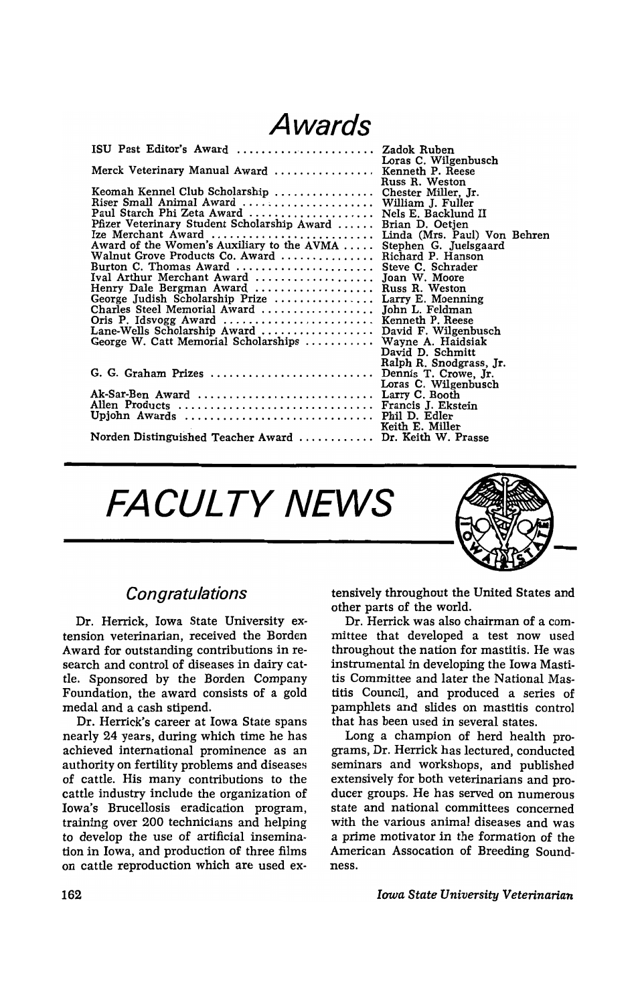## **Awards**

| ISU Past Editor's Award  Zadok Ruben                    |                              |
|---------------------------------------------------------|------------------------------|
|                                                         | Loras C. Wilgenbusch         |
| Merck Veterinary Manual Award  Kenneth P. Reese         |                              |
|                                                         | Russ R. Weston               |
| Keomah Kennel Club Scholarship  Chester Miller, Jr.     |                              |
| Riser Small Animal Award  William J. Fuller             |                              |
| Paul Starch Phi Zeta Award  Nels E. Backlund II         |                              |
| Pfizer Veterinary Student Scholarship Award             | Brian D. Oetjen              |
| Ize Merchant Award                                      | Linda (Mrs. Paul) Von Behren |
| Award of the Women's Auxiliary to the AVMA              | Stephen G. Juelsgaard        |
| Walnut Grove Products Co. Award                         | Richard P. Hanson            |
| Burton C. Thomas Award  Steve C. Schrader               |                              |
| Ival Arthur Merchant Award  Joan W. Moore               |                              |
| Henry Dale Bergman Award  Russ R. Weston                |                              |
| George Judish Scholarship Prize  Larry E. Moenning      |                              |
| Charles Steel Memorial Award  John L. Feldman           |                              |
| Oris P. Idsvogg Award  Kenneth P. Reese                 |                              |
| Lane-Wells Scholarship Award  David F. Wilgenbusch      |                              |
| George W. Catt Memorial Scholarships  Wayne A. Haidsiak |                              |
|                                                         | David D. Schmitt             |
|                                                         | Ralph R. Snodgrass, Jr.      |
| G. G. Graham Prizes  Dennis T. Crowe, Jr.               |                              |
|                                                         | Loras C. Wilgenbusch         |
| Ak-Sar-Ben Award  Larry C. Booth                        |                              |
| Allen Products  Francis J. Ekstein                      |                              |
|                                                         |                              |
|                                                         | Keith E. Miller              |
| Norden Distinguished Teacher Award  Dr. Keith W. Prasse |                              |

**FACULTY NEWS** 



Dr. Herrick, Iowa State University extension veterinarian, received the Borden Award for outstanding contributions in research and control of diseases in dairy cattle. Sponsored by the Borden Company Foundation, the award consists of a gold medal and a cash stipend.

nearly 24 years, during which time he has achieved international prominence as an authority on fertility problems and diseases of cattle. His many contributions to the cattle industry include the organization of Iowa's Brucellosis eradication program, training over 200 technicians and helping to develop the use of artificial insemination in Iowa, and production of three films on cattle reproduction which are used ex-

*Congratulations* tensively throughout the United States and other parts of the world.

Dr. Herrick was also chairman of a committee that developed a test now used throughout the nation for mastitis. He was instrumental in developing the Iowa Mastitis Committee and later the National Mastitis Council, and produced a series of pamphlets and slides on mastitis control Dr. Herrick's career at Iowa State spans that has been used in several states.

Long a champion of herd health programs, Dr. Herrick has lectured, conducted seminars and workshops, and published extensively for both veterinarians and producer groups. He has served on numerous state and national committees concerned with the various animal diseases and was a prime motivator in the formation of the American Assocation of Breeding Soundness.

*Iowa State University Veterinarian*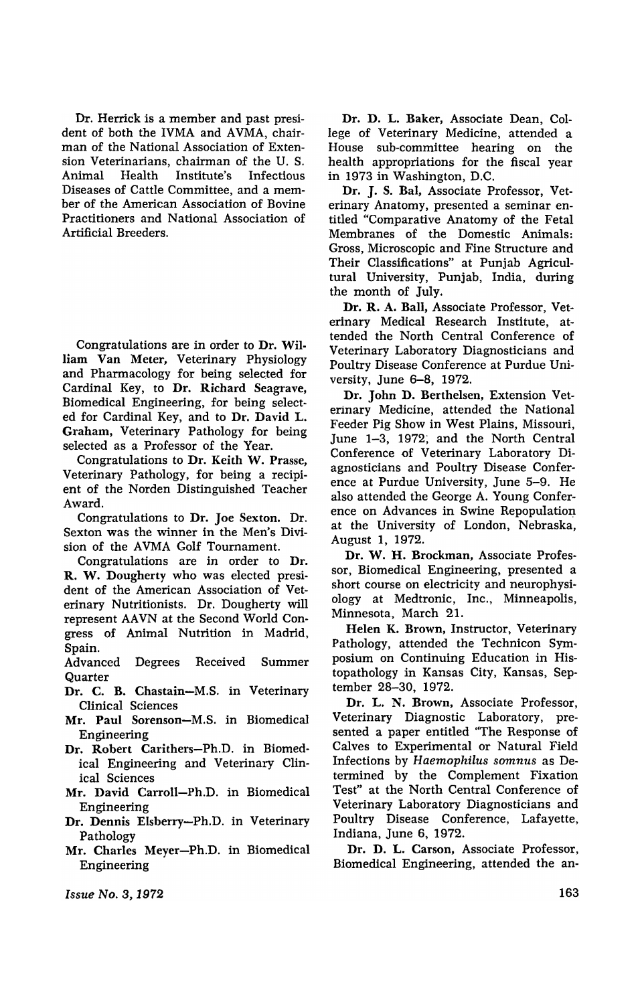Dr. Herrick is a member and past president of both the IVMA and AVMA, chairman of the National Association of Extension Veterinarians, chairman of the U. S. Animal Health Institute's Infectious Diseases of Cattle Committee, and a member of the American Association of Bovine Practitioners and National Association of Artificial Breeders.

Congratulations are in order to Dr. William Van Meter, Veterinary Physiology and Pharmacology for being selected for Cardinal Key, to Dr. Richard Seagrave, Biomedical Engineering, for being selected for Cardinal Key, and to Dr. David L. Graham, Veterinary Pathology for being selected as a Professor of the Year.

Congratulations to Dr. Keith W. Prasse, Veterinary Pathology, for being a recipient of the Norden Distinguished Teacher Award.

Congratulations to Dr. Joe Sexton. Dr. Sexton was the winner in the Men's Division of the AVMA Golf Tournament.

Congratulations are in order to Dr. R. W. Dougherty who was elected president of the American Association of Veterinary Nutritionists. Dr. Dougherty will represent AAVN at the Second World Congress of Animal Nutrition in Madrid, Spain.

Advanced Degrees Received Summer **Quarter** 

- Dr. C. B. Chastain-M.S. in Veterinary Clinical Sciences
- Mr. Paul Sorenson-M.S. in Biomedical Engineering
- Dr. Robert Carithers-Ph.D. in Biomedical Engineering and Veterinary Clinical Sciences
- Mr. David Carroll-Ph.D. in Biomedical Engineering
- Dr. Dennis Elsberry-Ph.D. in Veterinary Pathology
- Mr. Charles Meyer-Ph.D. in Biomedical Engineering

Dr. D. L. Baker, Associate Dean, College of Veterinary Medicine, attended a House sub-committee hearing on the health appropriations for the fiscal year in 1973 in Washington, D.C.

Dr. J. S. Bal, Associate Professor, Veterinary Anatomy, presented a seminar entitled "Comparative Anatomy of the Fetal Membranes of the Domestic Animals: Gross, Microscopic and Fine Structure and Their Classifications" at Punjab Agricultural University, Punjab, India, during the month of July.

Dr. R. A. Ball, Associate Professor, Veterinary Medical Research Institute, attended the North Central Conference of Veterinary Laboratory Diagnosticians and Poultry Disease Conference at Purdue University, June 6-8, 1972.

Dr. John D. Berthelsen, Extension Veterinary Medicine, attended the National Feeder Pig Show in West Plains, Missouri, June 1-3, 1972; and the North Central Conference of Veterinary Laboratory Diagnosticians and Poultry Disease Conference at Purdue University, June 5-9. He also attended the George A. Young Conference on Advances in Swine Repopulation at the University of London, Nebraska, August 1, 1972.

Dr. W. H. Brockman, Associate Professor, Biomedical Engineering, presented a short course on electricity and neurophysiology at Medtronic, Inc., Minneapolis, Minnesota, March 21.

Helen K. Brown, Instructor, Veterinary Pathology. attended the Technicon Symposium on Continuing Education in Histopathology in Kansas City, Kansas, September 28-30, 1972.

Dr. L. N. Brown, Associate Professor, Veterinary Diagnostic Laboratory, presented a paper entitled "The Response of Calves to Experimental or Natural Field Infections by *Haemophilus somnus* as Determined by the Complement Fixation Test" at the North Central Conference of Veterinary Laboratory Diagnosticians and Poultry Disease Conference, Lafayette, Indiana, June 6, 1972.

Dr. D. L. Carson, Associate Professor. Biomedical Engineering, attended the an-

*Issue No.3, 1972*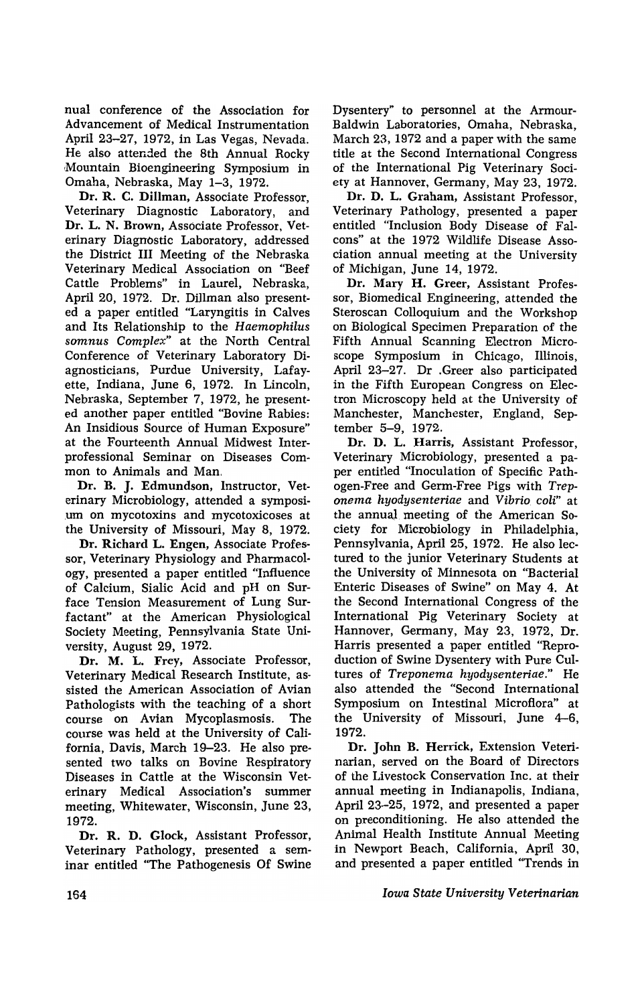nual conference of the Association for Advancement of Medical Instrumentation April 23-27, 1972, in Las Vegas, Nevada. He also attended the 8th Annual Rocky Mountain Bioengineering Symposium in Omaha, Nebraska, May 1-3, 1972.

Dr. R. C. Dillman, Associate Professor, Veterinary Diagnostic Laboratory, and Dr. L. N. Brown, Associate Professor, Veterinary Diagnostic Laboratory, addressed the District III Meeting of the Nebraska Veterinary Medical Association on "Beef Cattle Problems" in Laurel, Nebraska, April 20, 1972. Dr. Dillman also presented a paper entitled "Laryngitis in Calves and Its Relationship to the *Haemophilus somnus Complex"* at the North Central Conference of Veterinary Laboratory Diagnosticians, Purdue University, Lafayette, Indiana, June 6, 1972. In Lincoln, Nebraska, September 7, 1972, he presented another paper entitled "Bovine Rabies: An Insidious Source of Human Exposure" at the Fourteenth Annual Midwest Interprofessional Seminar on Diseases Com· mon to Animals and Man.

Dr. B. J. Edmundson, Instructor, Veterinary Microbiology, attended a symposi- .um on mycotoxins and mycotoxicoses at the University of Missouri, May 8, 1972.

Dr. Richard L. Engen, Associate Professor, Veterinary Physiology and Pharmacol· ogy, presented a paper entitled "Influence of Calcium, Sialic Acid and pH on Surface Tension Measurement of Lung Surfactant" at the American Physiological Society Meeting, Pennsylvania State University, August 29, 1972.

Dr. M. L. Frey, Associate Professor, Veterinary Medical Research Institute, assisted the American Association of Avian Pathologists with the teaching of a short course on Avian Mycoplasmosis. The course was held at the University of California, Davis, March 19-23. He also presented two talks on Bovine Respiratory Diseases in Cattle at the Wisconsin Veterinary Medical Association's summer meeting, Whitewater, Wisconsin, June 23, 1972.

Dr. R. D. Glock. Assistant Professor, Veterinary Pathology, presented a seminar entitled "The Pathogenesis Of Swine Dysentery" to personnel at the Armour-Baldwin Laboratories, Omaha, Nebraska, March 23,1972 and a paper with the same title at the Second International Congress of the International Pig Veterinary Society at Hannover, Germany, May 23, 1972.

Dr. D. L. Graham. Assistant Professor, Veterinary Pathology, presented a paper entitled "Inclusion Body Disease of Falcons" at the 1972 Wildlife Disease Association annual meeting at the University of Michigan, June 14, 1972.

Dr. Mary H. Greer, Assistant Professor, Biomedical Engineering, attended the Steroscan Colloquium and the Workshop on Biological Specimen Preparation of the Fifth Annual Scanning Electron Microscope Symposium in Chicago, Illinois, April 23-27. Dr .Greer also participated in the Fifth European Congress on Electron Microscopy held at the University of Manchester, Manchester, England, September 5-9, 1972.

Dr. D. L. Harris, Assistant Professor, Veterinary Microbiology, presented a paper entitled "Inoculation of Specific Pathogen-Free and Germ-Free Pigs with *Treponema hyodysenteriae* and *Vibrio coli"* at the annual meeting of the American Society for Microbiology in Philadelphia, Pennsylvania, April 25, 1972. He also lectured to the junior Veterinary Students at the University of Minnesota on "Bacterial Enteric Diseases of Swine" on May 4. At the Second International Congress of the International Pig Veterinary Society at Hannover, Germany, May 23, 1972, Dr. Harris presented a paper entitled "Reproduction of Swine Dysentery with Pure Cultures of *Treponema hyodysenteriae."* He also attended the "Second International Symposium on Intestinal Microflora" at the University of Missouri, June 4-6, 1972.

Dr. John B. Herrick, Extension Veterinarian, served on the Board of Directors of the Livestock Conservation Inc. at their annual meeting in Indianapolis, Indiana, April 23-25, 1972, and presented a paper on preconditioning. He also attended the Animal Health Institute Annual Meeting in Newport Beach, California, April 30, and presented a paper entitled "Trends in

*Iowa State University Veterinarian*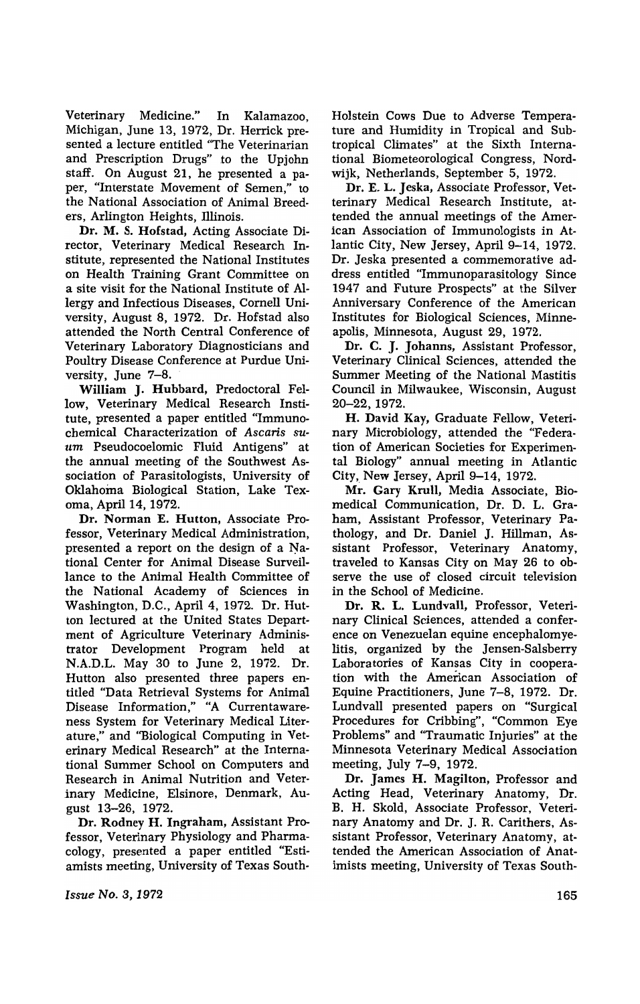Veterinary Medicine." In Kalamazoo, Michigan, June 13, 1972, Dr. Herrick presented a lecture entitled "The Veterinarian and Prescription Drugs" to the Upjohn staff. On August 21, he presented a paper, "Interstate Movement of Semen," to the National Association of Animal Breeders, Arlington Heights, Illinois.

Dr. M. S. Hofstad, Acting Associate Director, Veterinary Medical Research Institute, represented the National Institutes on Health Training Grant Committee on a site visit for the National Institute of Allergy and Infectious Diseases, Cornell University, August 8, 1972. Dr. Hofstad also attended the North Central Conference of Veterinary Laboratory Diagnosticians and Poultry Disease Conference at Purdue University, June 7-8.

William J. Hubbard, Predoctoral Fellow, Veterinary Medical Research Institute, presented a paper entitled "Immunochemical Characterization of *Ascaris su*um Pseudocoelomic Fluid Antigens" at the annual meeting of the Southwest Association of Parasitologists, University of Oklahoma Biological Station, Lake Texoma, April 14, 1972.

Dr. Norman E. Hutton, Associate Professor, Veterinary Medical Administration, presented a report on the design of a National Center for Animal Disease Surveillance to the Animal Health Committee of the National Academy of Sciences in Washington, D.C., April 4, 1972. Dr. Hutton lectured at the United States Department of Agriculture Veterinary Administrator Development Program held at N.A.D.L. May 30 to June 2, 1972. Dr. Hutton also presented three papers entitled "Data Retrieval Systems for Anima1 Disease Information," "A Currentawareness System for Veterinary Medical Literature," and "Biological Computing in Veterinary Medical Research" at the International Summer School on Computers and Research in Animal Nutrition and Veterinary Medicine, Elsinore, Denmark, August 13-26, 1972.

Dr. Rodney H. Ingraham, Assistant Professor, Veterinary Physiology and Pharmacology, presented a paper entitled "Estiamists meeting, University of Texas South-

*Issue No.3, 1972* 

Holstein Cows Due to Adverse Temperature and Humidity in Tropical and Subtropical Climates" at the Sixth International Biometeorological Congress, Nordwijk, Netherlands, September 5, 1972.

Dr. E. L. Jeska, Associate Professor, Vetterinary Medical Research Institute, attended the annual meetings of the American Association of Immunologists in Atlantic City, New Jersey, April 9-14, 1972. Dr. Jeska presented a commemorative address entitled "Immunoparasitology Since 1947 and Future Prospects" at the Silver Anniversary Conference of the American Institutes for Biological Sciences, Minneapolis, Minnesota, August 29, 1972.

Dr. C. J. Johanns, Assistant Professor, Veterinary Clinical Sciences, attended the Summer Meeting of the National Mastitis Council in Milwaukee, Wisconsin, August 20-22, 1972.

H. David Kay, Graduate Fellow, Veterinary Microbiology, attended the "Federation of American Societies for Experimental Biology" annual meeting in Atlantic City, New Jersey, April 9-14, 1972.

Mr. Gary Krull, Media Associate, Biomedical Communication, Dr. D. L. Graham, Assistant Professor, Veterinary Pathology, and Dr. Daniel J. Hillman, Assistant Professor, Veterinary Anatomy, traveled to Kansas City on May 26 to observe the use of closed circuit television in the School of Medicine.

Dr. R. L. Lundvall, Professor, Veterinary Clinical Sciences, attended a conference on Venezuelan equine encephalomyelitis, organized by the Jensen-Salsberry Laboratories of Kansas City in cooperation with the American Association of Equine Practitioners, June 7-8, 1972. Dr. Lundvall presented papers on "Surgical Procedures for Cribbing", "Common Eye Problems" and "Traumatic Injuries" at the Minnesota Veterinary Medical Association meeting, July 7-9, 1972.

Dr. James H. Magilton. Professor and Acting Head, Veterinary Anatomy, Dr. B. H. Skold, Associate Professor, Veterinary Anatomy and Dr. J. R. Carithers, Assistant Professor, Veterinary Anatomy, attended the American Association of Anatimists meeting, University of Texas South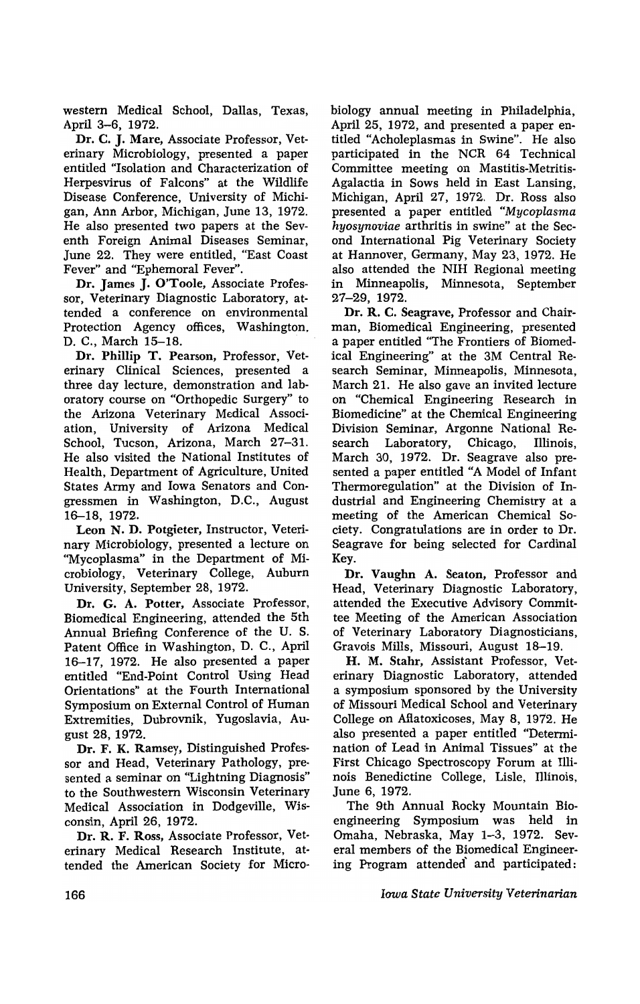western Medical School, Dallas, Texas, April 3-6, 1972.

Dr. C. J. Marc, Associate Professor, Veterinary Microbiology, presented a paper entitled "Isolation and Characterization of Herpesvirus of Falcons" at the Wildlife Disease Conference, University of Michigan, Ann Arbor, Michigan, June 13, 1972. He also presented two papers at the Seventh Foreign Animal Diseases Seminar, June 22. They were entitled, "East Coast Fever" and "Ephemoral Fever".

Dr. James J. O'Toole, Associate Professor, Veterinary Diagnostic Laboratory, attended a conference on environmental Protection Agency offices, Washington, D. C., March 15-18.

Dr. Phillip T. Pearson, Professor, Veterinary Clinical Sciences, presented a three day lecture, demonstration and laboratory course on "Orthopedic Surgery" to the Arizona Veterinary Medical Association, University of Arizona Medical School, Tucson, Arizona, March 27-31. He also visited the National Institutes of Health, Department of Agriculture, United States Army and Iowa Senators and Congressmen in Washington, D.C., August 16-18, 1972.

Leon N. D. Potgieter, Instructor, Veterinary Microbiology, presented a lecture on "Mycoplasma" in the Department of Microbiology, Veterinary College, Auburn University, September 28, 1972.

Dr. G. A. Potter, Associate Professor, Biomedical Engineering, attended the 5th Annual Briefing Conference of the U. S. Patent Office in Washington, D. C., April 16-17, 1972. He also presented a paper entitled "End-Point Control Using Head Orientations" at the Fourth International Symposium on External Control of Human Extremities, Dubrovnik, Yugoslavia, August 28, 1972.

Dr. F. K. Ramsey, Distinguished Professor and Head, Veterinary Pathology, presented a seminar on "Lightning Diagnosis" to the Southwestern Wisconsin Veterinary Medical Association in Dodgeville, Wisconsin, April 26, 1972.

Dr. R. F. Ross, Associate Professor, Veterinary Medical Research Institute, attended the American Society for Microbiology annual meeting in Philadelphia, April 25, 1972, and presented a paper entitled "Acholeplasmas in Swine". He also participated in the NCR 64 Technical Committee meeting on Mastitis-Metritis-Agalactia in Sows held in East Lansing, Michigan, April 27, 1972. Dr. Ross also presented a paper entitled "Mycoplasma hyosynoviae arthritis in swine" at the Second International Pig Veterinary Society at Hannover, Germany, May 23, 1972. He also attended the NIH Regional meeting in Minneapolis, Minnesota, September 27-29, 1972.

Dr. R. C. Seagrave, Professor and Chairman, Biomedical Engineering, presented a paper entitled "The Frontiers of Biomedical Engineering" at the 3M Central Research Seminar, Minneapolis, Minnesota, March 21. He also gave an invited lecture on "Chemical Engineering Research in Biomedicine" at the Chemical Engineering Division Seminar, Argonne National Research Laboratory, Chicago, Illinois, March 30, 1972. Dr. Seagrave also presented a paper entitled "A Model of Infant Thermoregulation" at the Division of Industrial and Engineering Chemistry at a meeting of the American Chemical Society.Congratulations are in order to Dr. Seagrave for being selected for Cardinal Key.

Dr. Vaughn A. Seaton, Professor and Head, Veterinary Diagnostic Laboratory, attended the Executive Advisory Committee Meeting of the American Association of Veterinary Laboratory Diagnosticians, Gravois Mills, Missouri, August 18-19.

H. M. Stahr, Assistant Professor, Veterinary Diagnostic Laboratory, attended a symposium sponsored by the University of Missouri Medical School and Veterinary College on Aflatoxicoses, May 8, 1972. He also presented a paper entitled "Determination of Lead in Animal Tissues" at the First Chicago Spectroscopy Forum at Illinois Benedictine College, Lisle, Illinois, June 6, 1972.

The 9th Annual Rocky Mountain Bioengineering Symposium was held in Omaha, Nebraska, May 1-3, 1972. Several members of the Biomedical Engineering Program attended' and participated;